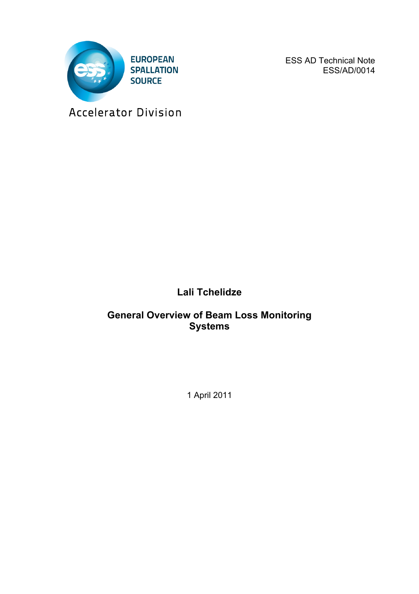

ESS AD Technical Note ESS/AD/0014

Accelerator Division

**Lali Tchelidze**

## **General Overview of Beam Loss Monitoring Systems**

1 April 2011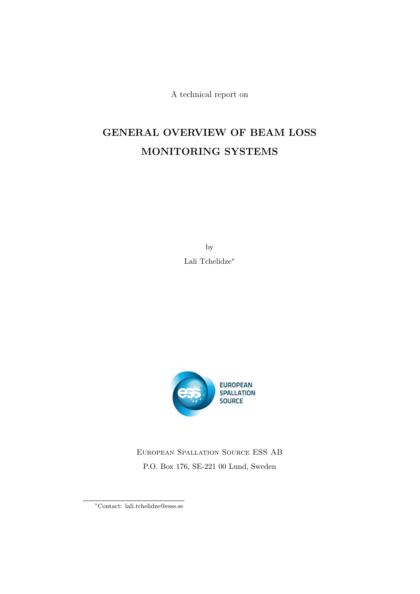A technical report on

# GENERAL OVERVIEW OF BEAM LOSS MONITORING SYSTEMS

by Lali Tchelidze∗



European Spallation Source ESS AB P.O. Box 176, SE-221 00 Lund, Sweden

<sup>∗</sup>Contact: lali.tchelidze@esss.se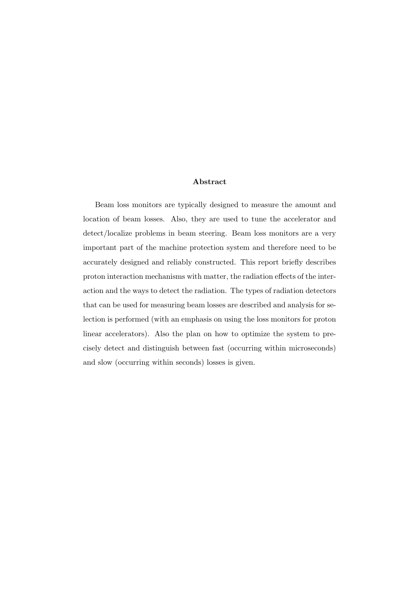#### Abstract

Beam loss monitors are typically designed to measure the amount and location of beam losses. Also, they are used to tune the accelerator and detect/localize problems in beam steering. Beam loss monitors are a very important part of the machine protection system and therefore need to be accurately designed and reliably constructed. This report briefly describes proton interaction mechanisms with matter, the radiation effects of the interaction and the ways to detect the radiation. The types of radiation detectors that can be used for measuring beam losses are described and analysis for selection is performed (with an emphasis on using the loss monitors for proton linear accelerators). Also the plan on how to optimize the system to precisely detect and distinguish between fast (occurring within microseconds) and slow (occurring within seconds) losses is given.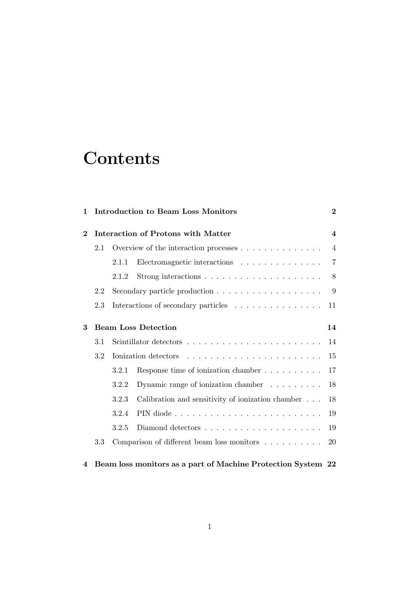# **Contents**

| 1                          | <b>Introduction to Beam Loss Monitors</b>                    |                                            |                                                                 | $\bf{2}$       |
|----------------------------|--------------------------------------------------------------|--------------------------------------------|-----------------------------------------------------------------|----------------|
| $\bf{2}$                   |                                                              | Interaction of Protons with Matter         |                                                                 |                |
|                            | 2.1                                                          | Overview of the interaction processes      |                                                                 | $\overline{4}$ |
|                            |                                                              | 2.1.1                                      | Electromagnetic interactions $\ldots \ldots \ldots \ldots$      | $\overline{7}$ |
|                            |                                                              | 2.1.2                                      | Strong interactions $\dots \dots \dots \dots \dots \dots \dots$ | 8              |
|                            | 2.2                                                          |                                            |                                                                 | 9              |
|                            | 2.3                                                          | Interactions of secondary particles        |                                                                 | 11             |
| $\boldsymbol{\mathcal{S}}$ |                                                              | <b>Beam Loss Detection</b><br>14           |                                                                 |                |
|                            | 3.1                                                          |                                            |                                                                 |                |
|                            | 3.2                                                          |                                            | Ionization detectors                                            |                |
|                            |                                                              | 3.2.1                                      | Response time of ionization chamber $\dots \dots \dots$         | 17             |
|                            |                                                              | 3.2.2                                      | Dynamic range of ionization chamber $\dots \dots$               | 18             |
|                            |                                                              | 3.2.3                                      | Calibration and sensitivity of ionization chamber               | 18             |
|                            |                                                              | 3.2.4                                      |                                                                 | 19             |
|                            |                                                              | 3.2.5                                      |                                                                 | 19             |
|                            | 3.3                                                          | Comparison of different beam loss monitors |                                                                 | 20             |
| 4                          | Beam loss monitors as a part of Machine Protection System 22 |                                            |                                                                 |                |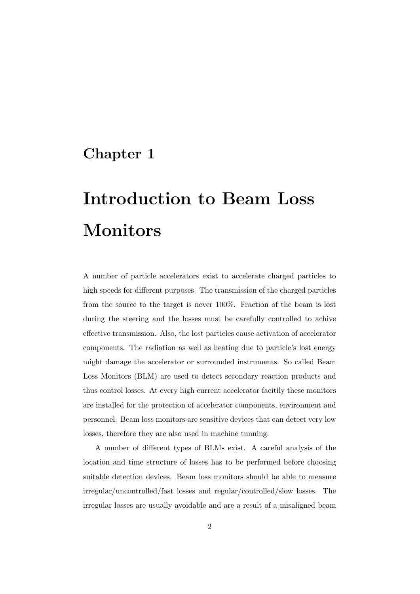# Chapter 1

# Introduction to Beam Loss Monitors

A number of particle accelerators exist to accelerate charged particles to high speeds for different purposes. The transmission of the charged particles from the source to the target is never 100%. Fraction of the beam is lost during the steering and the losses must be carefully controlled to achive effective transmission. Also, the lost particles cause activation of accelerator components. The radiation as well as heating due to particle's lost energy might damage the accelerator or surrounded instruments. So called Beam Loss Monitors (BLM) are used to detect secondary reaction products and thus control losses. At every high current accelerator facitily these monitors are installed for the protection of accelerator components, environment and personnel. Beam loss monitors are sensitive devices that can detect very low losses, therefore they are also used in machine tunning.

A number of different types of BLMs exist. A careful analysis of the location and time structure of losses has to be performed before choosing suitable detection devices. Beam loss monitors should be able to measure irregular/uncontrolled/fast losses and regular/controlled/slow losses. The irregular losses are usually avoidable and are a result of a misaligned beam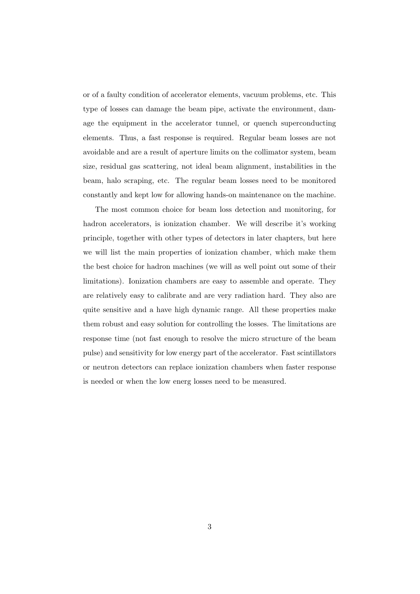or of a faulty condition of accelerator elements, vacuum problems, etc. This type of losses can damage the beam pipe, activate the environment, damage the equipment in the accelerator tunnel, or quench superconducting elements. Thus, a fast response is required. Regular beam losses are not avoidable and are a result of aperture limits on the collimator system, beam size, residual gas scattering, not ideal beam alignment, instabilities in the beam, halo scraping, etc. The regular beam losses need to be monitored constantly and kept low for allowing hands-on maintenance on the machine.

The most common choice for beam loss detection and monitoring, for hadron accelerators, is ionization chamber. We will describe it's working principle, together with other types of detectors in later chapters, but here we will list the main properties of ionization chamber, which make them the best choice for hadron machines (we will as well point out some of their limitations). Ionization chambers are easy to assemble and operate. They are relatively easy to calibrate and are very radiation hard. They also are quite sensitive and a have high dynamic range. All these properties make them robust and easy solution for controlling the losses. The limitations are response time (not fast enough to resolve the micro structure of the beam pulse) and sensitivity for low energy part of the accelerator. Fast scintillators or neutron detectors can replace ionization chambers when faster response is needed or when the low energ losses need to be measured.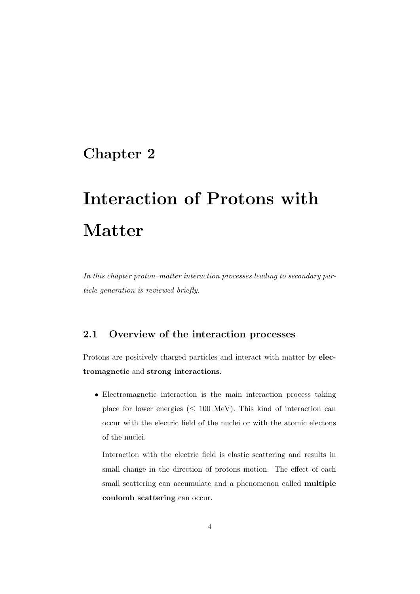# Chapter 2

# Interaction of Protons with Matter

*In this chapter proton–matter interaction processes leading to secondary particle generation is reviewed briefly.*

### 2.1 Overview of the interaction processes

Protons are positively charged particles and interact with matter by electromagnetic and strong interactions.

• Electromagnetic interaction is the main interaction process taking place for lower energies ( $\leq 100$  MeV). This kind of interaction can occur with the electric field of the nuclei or with the atomic electons of the nuclei.

Interaction with the electric field is elastic scattering and results in small change in the direction of protons motion. The effect of each small scattering can accumulate and a phenomenon called multiple coulomb scattering can occur.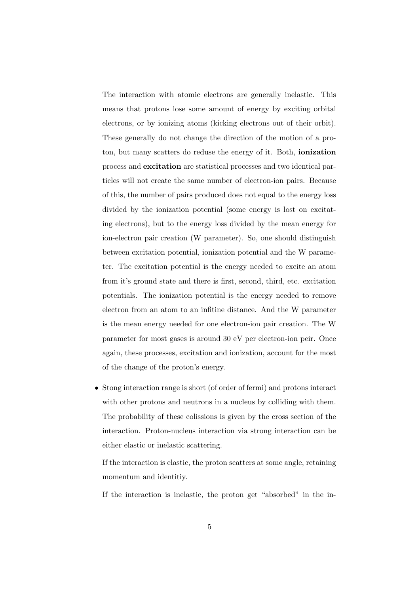The interaction with atomic electrons are generally inelastic. This means that protons lose some amount of energy by exciting orbital electrons, or by ionizing atoms (kicking electrons out of their orbit). These generally do not change the direction of the motion of a proton, but many scatters do reduse the energy of it. Both, ionization process and excitation are statistical processes and two identical particles will not create the same number of electron-ion pairs. Because of this, the number of pairs produced does not equal to the energy loss divided by the ionization potential (some energy is lost on excitating electrons), but to the energy loss divided by the mean energy for ion-electron pair creation (W parameter). So, one should distinguish between excitation potential, ionization potential and the W parameter. The excitation potential is the energy needed to excite an atom from it's ground state and there is first, second, third, etc. excitation potentials. The ionization potential is the energy needed to remove electron from an atom to an infitine distance. And the W parameter is the mean energy needed for one electron-ion pair creation. The W parameter for most gases is around 30 eV per electron-ion peir. Once again, these processes, excitation and ionization, account for the most of the change of the proton's energy.

• Stong interaction range is short (of order of fermi) and protons interact with other protons and neutrons in a nucleus by colliding with them. The probability of these colissions is given by the cross section of the interaction. Proton-nucleus interaction via strong interaction can be either elastic or inelastic scattering.

If the interaction is elastic, the proton scatters at some angle, retaining momentum and identitiy.

If the interaction is inelastic, the proton get "absorbed" in the in-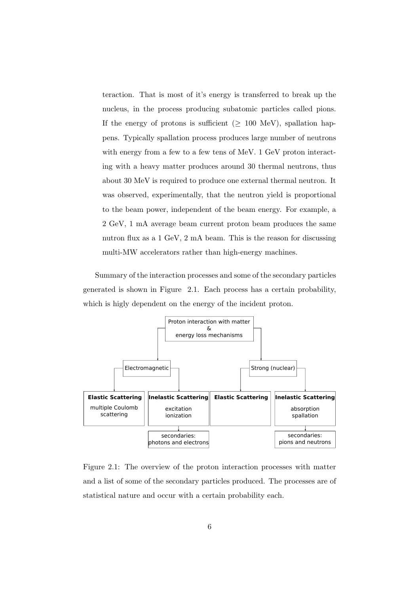teraction. That is most of it's energy is transferred to break up the nucleus, in the process producing subatomic particles called pions. If the energy of protons is sufficient ( $\geq$  100 MeV), spallation happens. Typically spallation process produces large number of neutrons with energy from a few to a few tens of MeV. 1 GeV proton interacting with a heavy matter produces around 30 thermal neutrons, thus about 30 MeV is required to produce one external thermal neutron. It was observed, experimentally, that the neutron yield is proportional to the beam power, independent of the beam energy. For example, a 2 GeV, 1 mA average beam current proton beam produces the same nutron flux as a 1 GeV, 2 mA beam. This is the reason for discussing multi-MW accelerators rather than high-energy machines.

Summary of the interaction processes and some of the secondary particles generated is shown in Figure 2.1. Each process has a certain probability, which is higly dependent on the energy of the incident proton.



Figure 2.1: The overview of the proton interaction processes with matter and a list of some of the secondary particles produced. The processes are of statistical nature and occur with a certain probability each.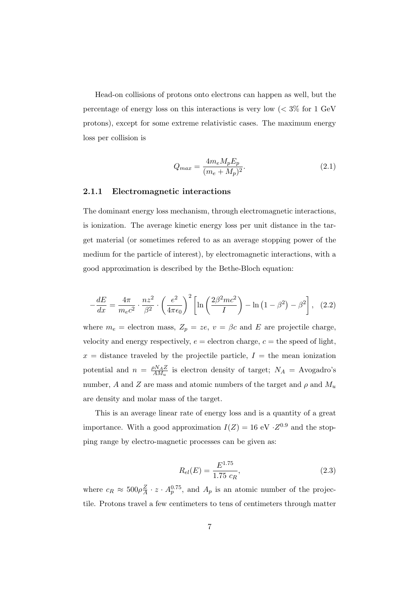Head-on collisions of protons onto electrons can happen as well, but the percentage of energy loss on this interactions is very low  $\langle \, \langle 3 \rangle \rangle$  for 1 GeV protons), except for some extreme relativistic cases. The maximum energy loss per collision is

$$
Q_{max} = \frac{4m_e M_p E_p}{(m_e + M_p)^2}.
$$
\n(2.1)

#### 2.1.1 Electromagnetic interactions

The dominant energy loss mechanism, through electromagnetic interactions, is ionization. The average kinetic energy loss per unit distance in the target material (or sometimes refered to as an average stopping power of the medium for the particle of interest), by electromagnetic interactions, with a good approximation is described by the Bethe-Bloch equation:

$$
-\frac{dE}{dx} = \frac{4\pi}{m_e c^2} \cdot \frac{nz^2}{\beta^2} \cdot \left(\frac{e^2}{4\pi\epsilon_0}\right)^2 \left[ \ln\left(\frac{2\beta^2 mc^2}{I}\right) - \ln\left(1 - \beta^2\right) - \beta^2 \right], \quad (2.2)
$$

where  $m_e$  = electron mass,  $Z_p = ze$ ,  $v = \beta c$  and E are projectile charge, velocity and energy respectively,  $e =$  electron charge,  $c =$  the speed of light,  $x =$  distance traveled by the projectile particle,  $I =$  the mean ionization potential and  $n = \frac{\rho N_A Z}{AM_u}$  is electron density of target;  $N_A =$  Avogadro's number, A and Z are mass and atomic numbers of the target and  $\rho$  and  $M_u$ are density and molar mass of the target.

This is an average linear rate of energy loss and is a quantity of a great importance. With a good approximation  $I(Z) = 16$  eV  $\cdot Z^{0.9}$  and the stopping range by electro-magnetic processes can be given as:

$$
R_{el}(E) = \frac{E^{1.75}}{1.75 c_R},
$$
\n(2.3)

where  $c_R \approx 500 \rho \frac{Z}{A} \cdot z \cdot A_p^{0.75}$ , and  $A_p$  is an atomic number of the projectile. Protons travel a few centimeters to tens of centimeters through matter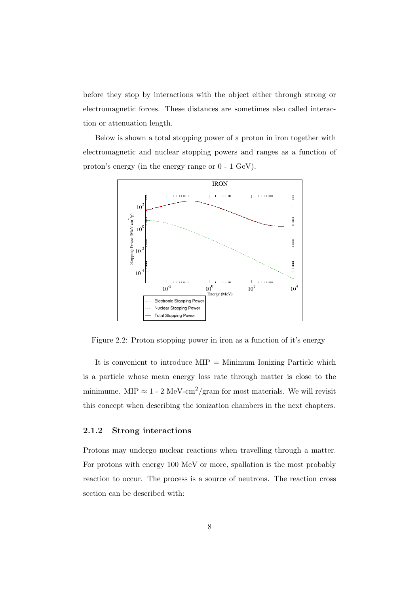before they stop by interactions with the object either through strong or electromagnetic forces. These distances are sometimes also called interaction or attenuation length.

Below is shown a total stopping power of a proton in iron together with electromagnetic and nuclear stopping powers and ranges as a function of proton's energy (in the energy range or 0 - 1 GeV).



Figure 2.2: Proton stopping power in iron as a function of it's energy

It is convenient to introduce  $MIP =$  Minimum Ionizing Particle which is a particle whose mean energy loss rate through matter is close to the minimume. MIP  $\approx 1$  - 2 MeV-cm<sup>2</sup>/gram for most materials. We will revisit this concept when describing the ionization chambers in the next chapters.

#### 2.1.2 Strong interactions

Protons may undergo nuclear reactions when travelling through a matter. For protons with energy 100 MeV or more, spallation is the most probably reaction to occur. The process is a source of neutrons. The reaction cross section can be described with: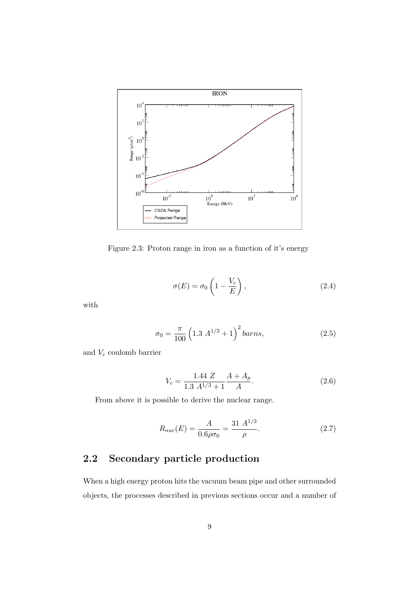

Figure 2.3: Proton range in iron as a function of it's energy

$$
\sigma(E) = \sigma_0 \left( 1 - \frac{V_c}{E} \right),\tag{2.4}
$$

with

$$
\sigma_0 = \frac{\pi}{100} \left( 1.3 \ A^{1/3} + 1 \right)^2 \text{ barns},\tag{2.5}
$$

and  $V_c$  coulomb barrier

$$
V_c = \frac{1.44 \ Z}{1.3 \ A^{1/3} + 1} \frac{A + A_p}{A}.
$$
 (2.6)

From above it is possible to derive the nuclear range.

$$
R_{nuc}(E) = \frac{A}{0.6\rho\sigma_0} = \frac{31 \ A^{1/3}}{\rho}.
$$
 (2.7)

## 2.2 Secondary particle production

When a high energy proton hits the vacuum beam pipe and other surrounded objects, the processes described in previous sections occur and a number of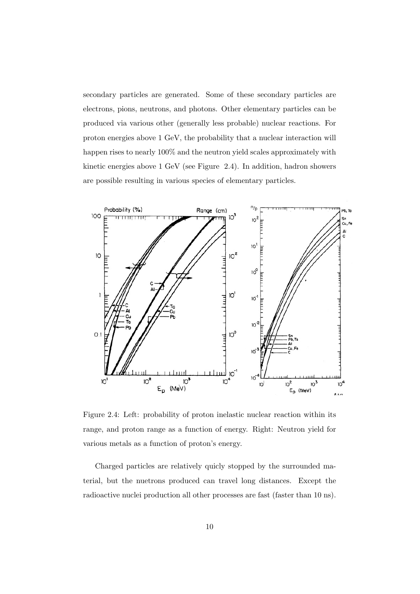secondary particles are generated. Some of these secondary particles are electrons, pions, neutrons, and photons. Other elementary particles can be produced via various other (generally less probable) nuclear reactions. For proton energies above 1 GeV, the probability that a nuclear interaction will happen rises to nearly  $100\%$  and the neutron yield scales approximately with kinetic energies above 1 GeV (see Figure 2.4). In addition, hadron showers are possible resulting in various species of elementary particles.



Figure 2.4: Left: probability of proton inelastic nuclear reaction within its range, and proton range as a function of energy. Right: Neutron yield for various metals as a function of proton's energy.

Charged particles are relatively quicly stopped by the surrounded material, but the nuetrons produced can travel long distances. Except the radioactive nuclei production all other processes are fast (faster than 10 ns).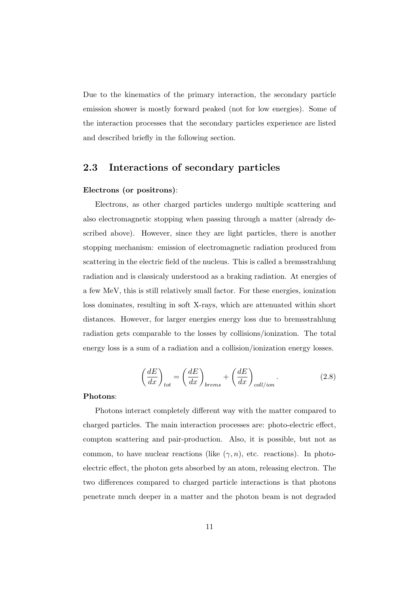Due to the kinematics of the primary interaction, the secondary particle emission shower is mostly forward peaked (not for low energies). Some of the interaction processes that the secondary particles experience are listed and described briefly in the following section.

## 2.3 Interactions of secondary particles

#### Electrons (or positrons):

Electrons, as other charged particles undergo multiple scattering and also electromagnetic stopping when passing through a matter (already described above). However, since they are light particles, there is another stopping mechanism: emission of electromagnetic radiation produced from scattering in the electric field of the nucleus. This is called a bremsstrahlung radiation and is classicaly understood as a braking radiation. At energies of a few MeV, this is still relatively small factor. For these energies, ionization loss dominates, resulting in soft X-rays, which are attenuated within short distances. However, for larger energies energy loss due to bremsstrahlung radiation gets comparable to the losses by collisions/ionization. The total energy loss is a sum of a radiation and a collision/ionization energy losses.

$$
\left(\frac{dE}{dx}\right)_{tot} = \left(\frac{dE}{dx}\right)_{brems} + \left(\frac{dE}{dx}\right)_{coll/ion}.
$$
\n(2.8)

#### Photons:

Photons interact completely different way with the matter compared to charged particles. The main interaction processes are: photo-electric effect, compton scattering and pair-production. Also, it is possible, but not as common, to have nuclear reactions (like  $(\gamma, n)$ , etc. reactions). In photoelectric effect, the photon gets absorbed by an atom, releasing electron. The two differences compared to charged particle interactions is that photons penetrate much deeper in a matter and the photon beam is not degraded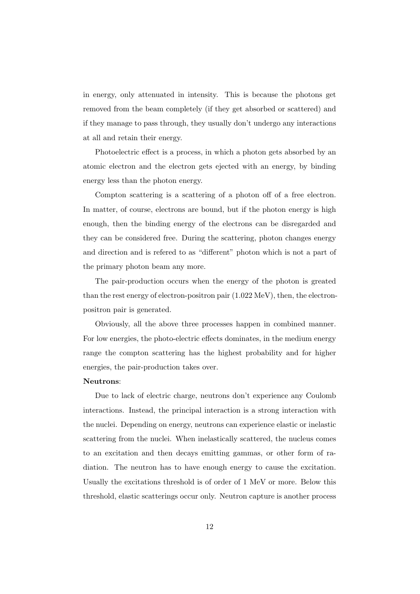in energy, only attenuated in intensity. This is because the photons get removed from the beam completely (if they get absorbed or scattered) and if they manage to pass through, they usually don't undergo any interactions at all and retain their energy.

Photoelectric effect is a process, in which a photon gets absorbed by an atomic electron and the electron gets ejected with an energy, by binding energy less than the photon energy.

Compton scattering is a scattering of a photon off of a free electron. In matter, of course, electrons are bound, but if the photon energy is high enough, then the binding energy of the electrons can be disregarded and they can be considered free. During the scattering, photon changes energy and direction and is refered to as "different" photon which is not a part of the primary photon beam any more.

The pair-production occurs when the energy of the photon is greated than the rest energy of electron-positron pair (1.022 MeV), then, the electronpositron pair is generated.

Obviously, all the above three processes happen in combined manner. For low energies, the photo-electric effects dominates, in the medium energy range the compton scattering has the highest probability and for higher energies, the pair-production takes over.

#### Neutrons:

Due to lack of electric charge, neutrons don't experience any Coulomb interactions. Instead, the principal interaction is a strong interaction with the nuclei. Depending on energy, neutrons can experience elastic or inelastic scattering from the nuclei. When inelastically scattered, the nucleus comes to an excitation and then decays emitting gammas, or other form of radiation. The neutron has to have enough energy to cause the excitation. Usually the excitations threshold is of order of 1 MeV or more. Below this threshold, elastic scatterings occur only. Neutron capture is another process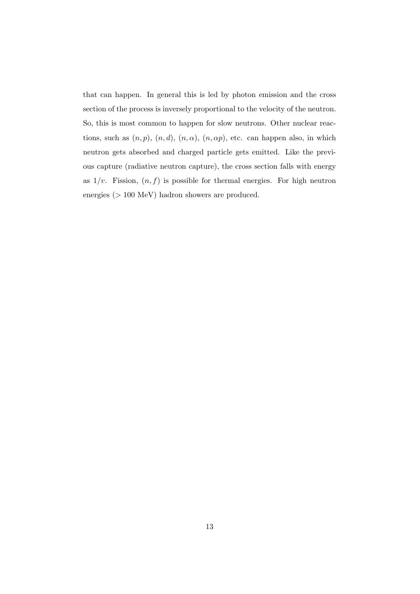that can happen. In general this is led by photon emission and the cross section of the process is inversely proportional to the velocity of the neutron. So, this is most common to happen for slow neutrons. Other nuclear reactions, such as  $(n, p)$ ,  $(n, d)$ ,  $(n, \alpha)$ ,  $(n, \alpha p)$ , etc. can happen also, in which neutron gets absorbed and charged particle gets emitted. Like the previous capture (radiative neutron capture), the cross section falls with energy as  $1/v$ . Fission,  $(n, f)$  is possible for thermal energies. For high neutron energies (> 100 MeV) hadron showers are produced.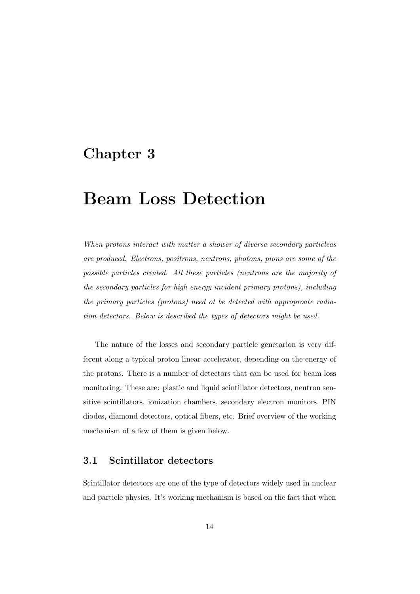# Chapter 3

# Beam Loss Detection

*When protons interact with matter a shower of diverse secondary particleas are produced. Electrons, positrons, neutrons, photons, pions are some of the possible particles created. All these particles (neutrons are the majority of the secondary particles for high energy incident primary protons), including the primary particles (protons) need ot be detected with approproate radiation detectors. Below is described the types of detectors might be used.*

The nature of the losses and secondary particle genetarion is very different along a typical proton linear accelerator, depending on the energy of the protons. There is a number of detectors that can be used for beam loss monitoring. These are: plastic and liquid scintillator detectors, neutron sensitive scintillators, ionization chambers, secondary electron monitors, PIN diodes, diamond detectors, optical fibers, etc. Brief overview of the working mechanism of a few of them is given below.

## 3.1 Scintillator detectors

Scintillator detectors are one of the type of detectors widely used in nuclear and particle physics. It's working mechanism is based on the fact that when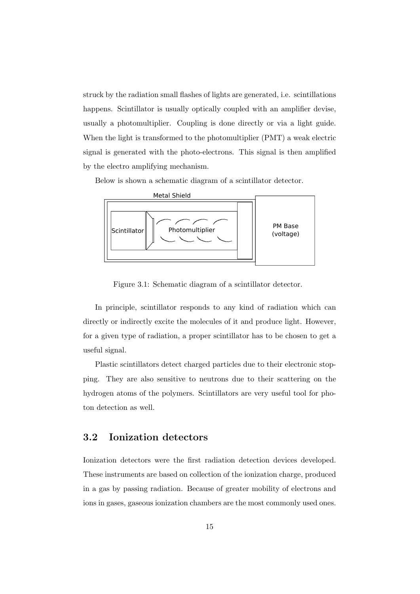struck by the radiation small flashes of lights are generated, i.e. scintillations happens. Scintillator is usually optically coupled with an amplifier devise, usually a photomultiplier. Coupling is done directly or via a light guide. When the light is transformed to the photomultiplier (PMT) a weak electric signal is generated with the photo-electrons. This signal is then amplified by the electro amplifying mechanism.

Below is shown a schematic diagram of a scintillator detector.



Figure 3.1: Schematic diagram of a scintillator detector.

In principle, scintillator responds to any kind of radiation which can directly or indirectly excite the molecules of it and produce light. However, for a given type of radiation, a proper scintillator has to be chosen to get a useful signal.

Plastic scintillators detect charged particles due to their electronic stopping. They are also sensitive to neutrons due to their scattering on the hydrogen atoms of the polymers. Scintillators are very useful tool for photon detection as well.

## 3.2 Ionization detectors

Ionization detectors were the first radiation detection devices developed. These instruments are based on collection of the ionization charge, produced in a gas by passing radiation. Because of greater mobility of electrons and ions in gases, gaseous ionization chambers are the most commonly used ones.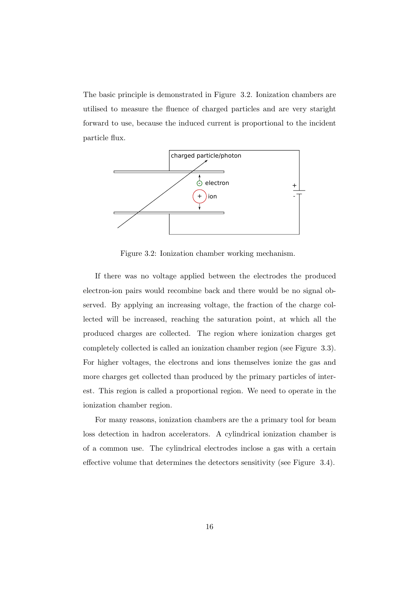The basic principle is demonstrated in Figure 3.2. Ionization chambers are utilised to measure the fluence of charged particles and are very staright forward to use, because the induced current is proportional to the incident particle flux.



Figure 3.2: Ionization chamber working mechanism.

If there was no voltage applied between the electrodes the produced electron-ion pairs would recombine back and there would be no signal observed. By applying an increasing voltage, the fraction of the charge collected will be increased, reaching the saturation point, at which all the produced charges are collected. The region where ionization charges get completely collected is called an ionization chamber region (see Figure 3.3). For higher voltages, the electrons and ions themselves ionize the gas and more charges get collected than produced by the primary particles of interest. This region is called a proportional region. We need to operate in the ionization chamber region.

For many reasons, ionization chambers are the a primary tool for beam loss detection in hadron accelerators. A cylindrical ionization chamber is of a common use. The cylindrical electrodes inclose a gas with a certain effective volume that determines the detectors sensitivity (see Figure 3.4).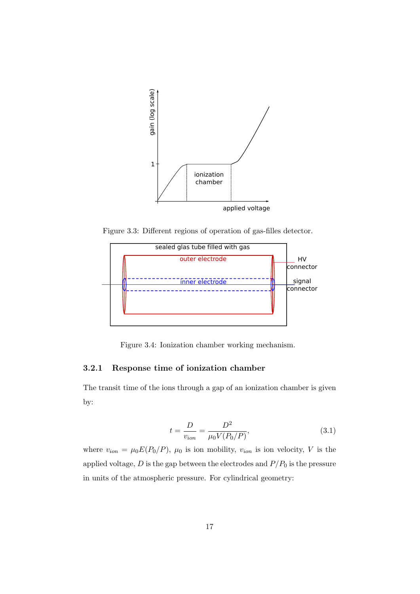

Figure 3.3: Different regions of operation of gas-filles detector.



Figure 3.4: Ionization chamber working mechanism.

#### 3.2.1 Response time of ionization chamber

The transit time of the ions through a gap of an ionization chamber is given by:

$$
t = \frac{D}{v_{ion}} = \frac{D^2}{\mu_0 V (P_0/P)},
$$
\n(3.1)

where  $v_{ion} = \mu_0 E(P_0/P)$ ,  $\mu_0$  is ion mobility,  $v_{ion}$  is ion velocity, V is the applied voltage,  $D$  is the gap between the electrodes and  $P/P_0$  is the pressure in units of the atmospheric pressure. For cylindrical geometry: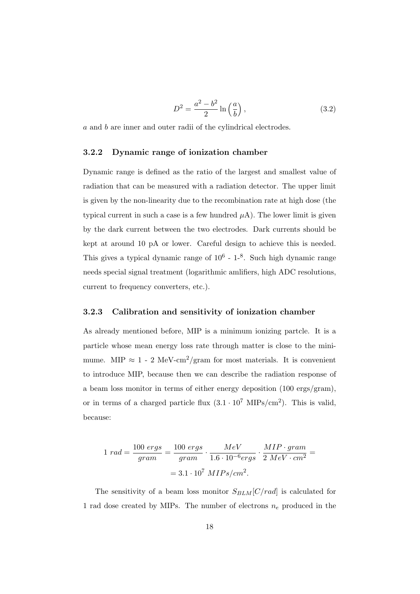$$
D^2 = \frac{a^2 - b^2}{2} \ln\left(\frac{a}{b}\right),\tag{3.2}
$$

a and b are inner and outer radii of the cylindrical electrodes.

#### 3.2.2 Dynamic range of ionization chamber

Dynamic range is defined as the ratio of the largest and smallest value of radiation that can be measured with a radiation detector. The upper limit is given by the non-linearity due to the recombination rate at high dose (the typical current in such a case is a few hundred  $\mu$ A). The lower limit is given by the dark current between the two electrodes. Dark currents should be kept at around 10 pA or lower. Careful design to achieve this is needed. This gives a typical dynamic range of  $10^6$  -  $1^{-8}$ . Such high dynamic range needs special signal treatment (logarithmic amlifiers, high ADC resolutions, current to frequency converters, etc.).

#### 3.2.3 Calibration and sensitivity of ionization chamber

As already mentioned before, MIP is a minimum ionizing partcle. It is a particle whose mean energy loss rate through matter is close to the minimume. MIP  $\approx 1$  - 2 MeV-cm<sup>2</sup>/gram for most materials. It is convenient to introduce MIP, because then we can describe the radiation response of a beam loss monitor in terms of either energy deposition (100 ergs/gram), or in terms of a charged particle flux  $(3.1 \cdot 10^7 \text{ MIPS/cm}^2)$ . This is valid, because:

$$
1 rad = \frac{100 ergs}{gram} = \frac{100 ergs}{gram} \cdot \frac{MeV}{1.6 \cdot 10^{-6} ergs} \cdot \frac{MIP \cdot gram}{2 MeV \cdot cm^2} =
$$

$$
= 3.1 \cdot 10^7 MIPs/cm^2.
$$

The sensitivity of a beam loss monitor  $S_{BLM}[C/rad]$  is calculated for 1 rad dose created by MIPs. The number of electrons  $n_e$  produced in the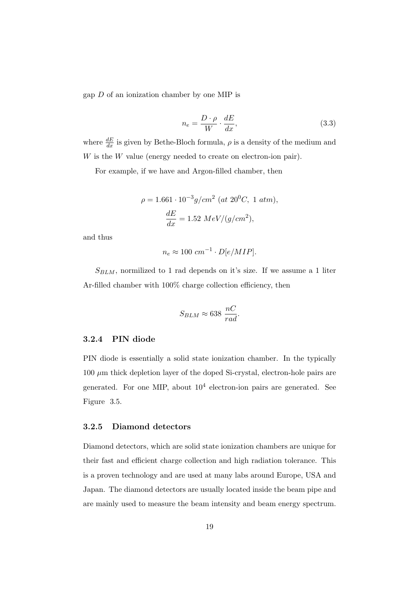gap D of an ionization chamber by one MIP is

$$
n_e = \frac{D \cdot \rho}{W} \cdot \frac{dE}{dx},\tag{3.3}
$$

where  $\frac{dE}{dx}$  is given by Bethe-Bloch formula,  $\rho$  is a density of the medium and W is the W value (energy needed to create on electron-ion pair).

For example, if we have and Argon-filled chamber, then

$$
\rho = 1.661 \cdot 10^{-3} g/cm^2 \ (at \ 20^0C, \ 1 \ atm),
$$

$$
\frac{dE}{dx} = 1.52 \ MeV/(g/cm^2),
$$

and thus

$$
n_e \approx 100 \, \, \text{cm}^{-1} \cdot D[e/MIP].
$$

 $S_{BLM}$ , normilized to 1 rad depends on it's size. If we assume a 1 liter Ar-filled chamber with 100% charge collection efficiency, then

$$
S_{BLM} \approx 638 \; \frac{nC}{rad}.
$$

#### 3.2.4 PIN diode

PIN diode is essentially a solid state ionization chamber. In the typically  $100 \mu m$  thick depletion layer of the doped Si-crystal, electron-hole pairs are generated. For one MIP, about  $10^4$  electron-ion pairs are generated. See Figure 3.5.

#### 3.2.5 Diamond detectors

Diamond detectors, which are solid state ionization chambers are unique for their fast and efficient charge collection and high radiation tolerance. This is a proven technology and are used at many labs around Europe, USA and Japan. The diamond detectors are usually located inside the beam pipe and are mainly used to measure the beam intensity and beam energy spectrum.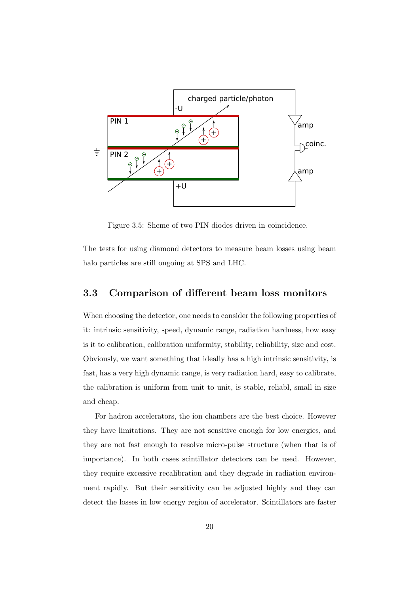

Figure 3.5: Sheme of two PIN diodes driven in coincidence.

The tests for using diamond detectors to measure beam losses using beam halo particles are still ongoing at SPS and LHC.

### 3.3 Comparison of different beam loss monitors

When choosing the detector, one needs to consider the following properties of it: intrinsic sensitivity, speed, dynamic range, radiation hardness, how easy is it to calibration, calibration uniformity, stability, reliability, size and cost. Obviously, we want something that ideally has a high intrinsic sensitivity, is fast, has a very high dynamic range, is very radiation hard, easy to calibrate, the calibration is uniform from unit to unit, is stable, reliabl, small in size and cheap.

For hadron accelerators, the ion chambers are the best choice. However they have limitations. They are not sensitive enough for low energies, and they are not fast enough to resolve micro-pulse structure (when that is of importance). In both cases scintillator detectors can be used. However, they require excessive recalibration and they degrade in radiation environment rapidly. But their sensitivity can be adjusted highly and they can detect the losses in low energy region of accelerator. Scintillators are faster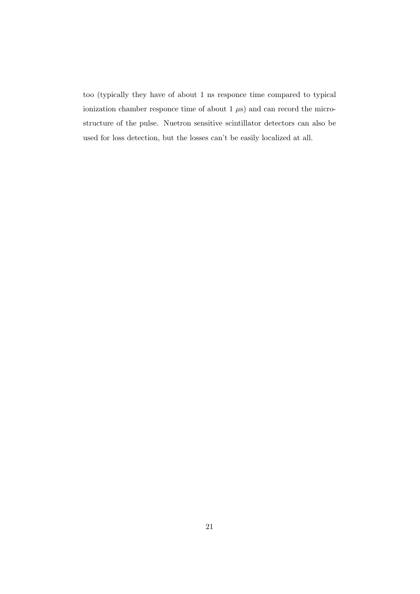too (typically they have of about 1 ns responce time compared to typical ionization chamber responce time of about  $1 \mu s$  and can record the microstructure of the pulse. Nuetron sensitive scintillator detectors can also be used for loss detection, but the losses can't be easily localized at all.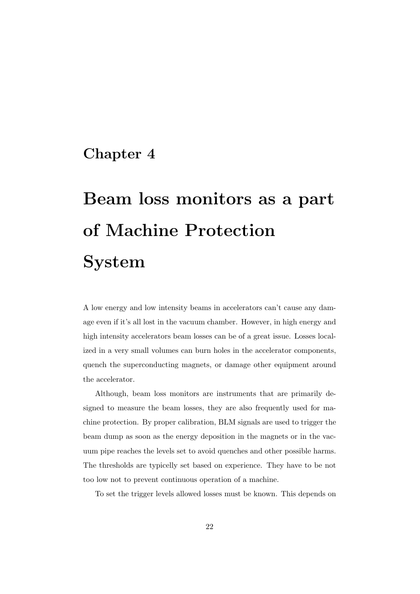# Chapter 4

# Beam loss monitors as a part of Machine Protection System

A low energy and low intensity beams in accelerators can't cause any damage even if it's all lost in the vacuum chamber. However, in high energy and high intensity accelerators beam losses can be of a great issue. Losses localized in a very small volumes can burn holes in the accelerator components, quench the superconducting magnets, or damage other equipment around the accelerator.

Although, beam loss monitors are instruments that are primarily designed to measure the beam losses, they are also frequently used for machine protection. By proper calibration, BLM signals are used to trigger the beam dump as soon as the energy deposition in the magnets or in the vacuum pipe reaches the levels set to avoid quenches and other possible harms. The thresholds are typicelly set based on experience. They have to be not too low not to prevent continuous operation of a machine.

To set the trigger levels allowed losses must be known. This depends on